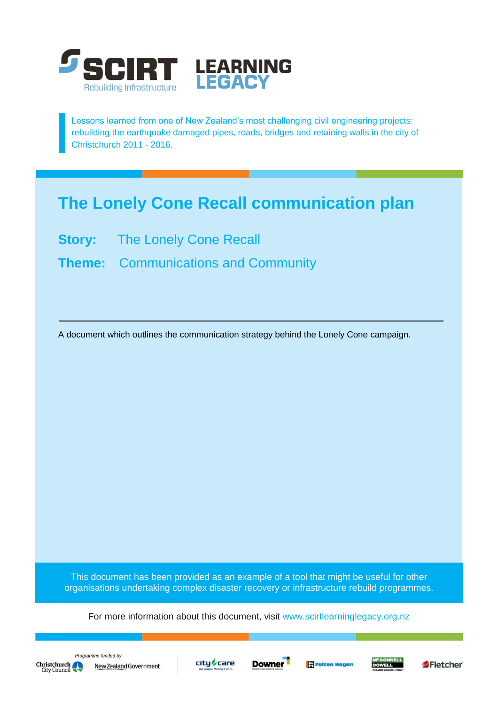

Lessons learned from one of New Zealand's most challenging civil engineering projects: rebuilding the earthquake damaged pipes, roads, bridges and retaining walls in the city of Christchurch 2011 - 2016.

# **The Lonely Cone Recall communication plan**

**Story:** The Lonely Cone Recall

**Theme:** Communications and Community

A document which outlines the communication strategy behind the Lonely Cone campaign.

This document has been provided as an example of a tool that might be useful for other organisations undertaking complex disaster recovery or infrastructure rebuild programmes.

For more information about this document, visit [www.scirtlearninglegacy.org.nz](http://www.scirtlearninglegacy.org.nz/)









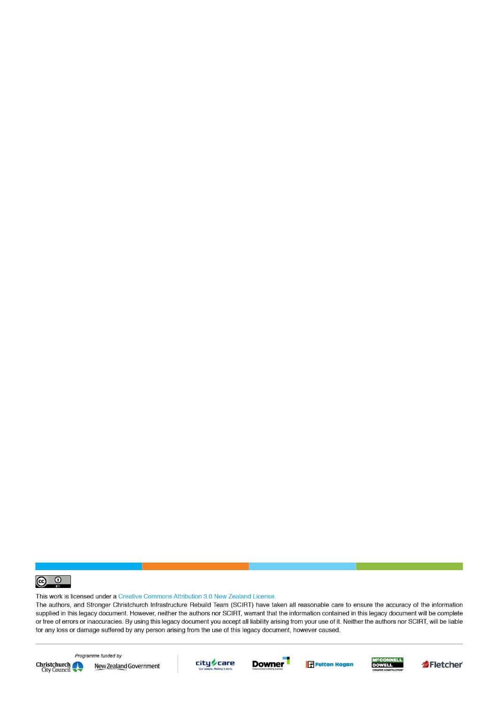

This work is licensed under a Creative Commons Attribution 3.0 New Zealand License.

The authors, and Stronger Christchurch Infrastructure Rebuild Team (SCIRT) have taken all reasonable care to ensure the accuracy of the information supplied in this legacy document. However, neither the authors nor SCIRT, warrant that the information contained in this legacy document will be complete or free of errors or inaccuracies. By using this legacy document you accept all liability arising from your use of it. Neither the authors nor SCIRT, will be liable for any loss or damage suffered by any person arising from the use of this legacy document, however caused.



Programme funded by New Zealand Government









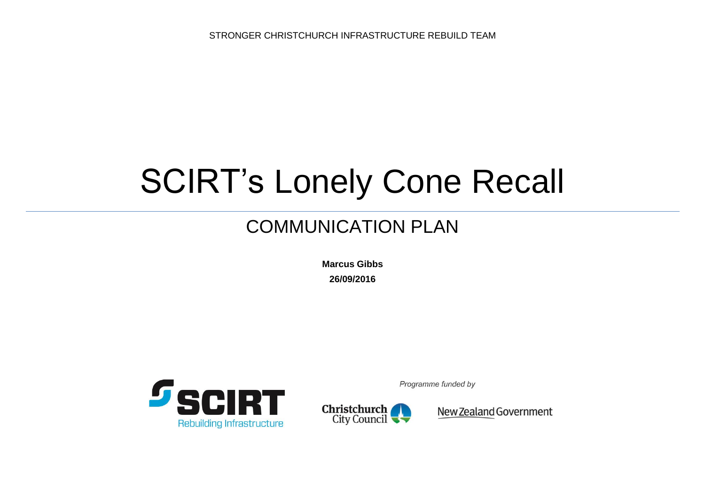STRONGER CHRISTCHURCH INFRASTRUCTURE REBUILD TEAM

# SCIRT's Lonely Cone Recall

# COMMUNICATION PLAN

**Marcus Gibbs 26/09/2016**



Programme funded by



New Zealand Government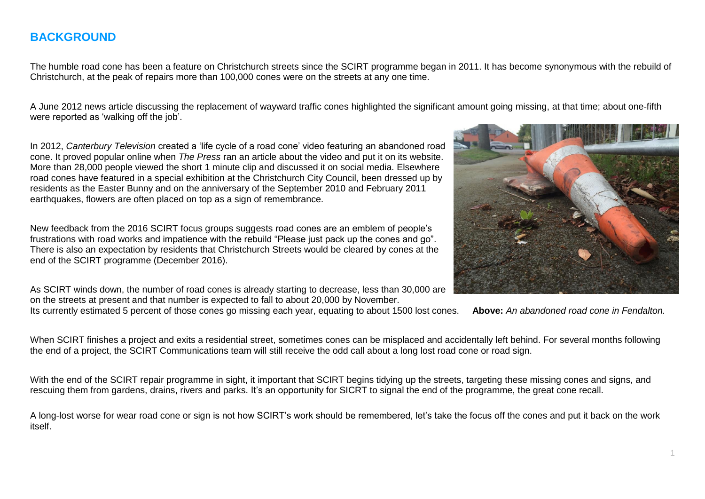#### **BACKGROUND**

The humble road cone has been a feature on Christchurch streets since the SCIRT programme began in 2011. It has become synonymous with the rebuild of Christchurch, at the peak of repairs more than 100,000 cones were on the streets at any one time.

A June 2012 news article discussing the replacement of wayward traffic cones highlighted the significant amount going missing, at that time; about one-fifth were reported as 'walking off the iob'.

In 2012, *Canterbury Television* created a 'life cycle of a road cone' video featuring an abandoned road cone. It proved popular online when *The Press* ran an article about the video and put it on its website. More than 28,000 people viewed the short 1 minute clip and discussed it on social media. Elsewhere road cones have featured in a special exhibition at the Christchurch City Council, been dressed up by residents as the Easter Bunny and on the anniversary of the September 2010 and February 2011 earthquakes, flowers are often placed on top as a sign of remembrance.

New feedback from the 2016 SCIRT focus groups suggests road cones are an emblem of people's frustrations with road works and impatience with the rebuild "Please just pack up the cones and go". There is also an expectation by residents that Christchurch Streets would be cleared by cones at the end of the SCIRT programme (December 2016).

As SCIRT winds down, the number of road cones is already starting to decrease, less than 30,000 are on the streets at present and that number is expected to fall to about 20,000 by November.

Its currently estimated 5 percent of those cones go missing each year, equating to about 1500 lost cones. **Above:** *An abandoned road cone in Fendalton.*



When SCIRT finishes a project and exits a residential street, sometimes cones can be misplaced and accidentally left behind. For several months following the end of a project, the SCIRT Communications team will still receive the odd call about a long lost road cone or road sign.

With the end of the SCIRT repair programme in sight, it important that SCIRT begins tidying up the streets, targeting these missing cones and signs, and rescuing them from gardens, drains, rivers and parks. It's an opportunity for SICRT to signal the end of the programme, the great cone recall.

A long-lost worse for wear road cone or sign is not how SCIRT's work should be remembered, let's take the focus off the cones and put it back on the work itself.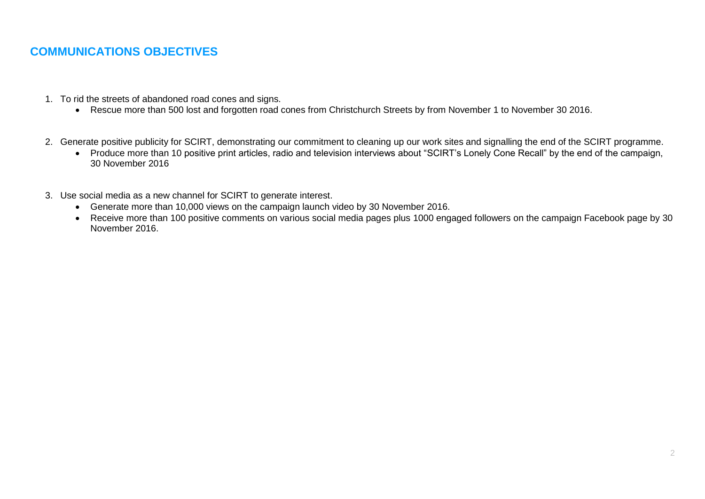### **COMMUNICATIONS OBJECTIVES**

- 1. To rid the streets of abandoned road cones and signs.
	- Rescue more than 500 lost and forgotten road cones from Christchurch Streets by from November 1 to November 30 2016.
- 2. Generate positive publicity for SCIRT, demonstrating our commitment to cleaning up our work sites and signalling the end of the SCIRT programme.
	- Produce more than 10 positive print articles, radio and television interviews about "SCIRT's Lonely Cone Recall" by the end of the campaign, 30 November 2016
- 3. Use social media as a new channel for SCIRT to generate interest.
	- Generate more than 10,000 views on the campaign launch video by 30 November 2016.
	- Receive more than 100 positive comments on various social media pages plus 1000 engaged followers on the campaign Facebook page by 30 November 2016.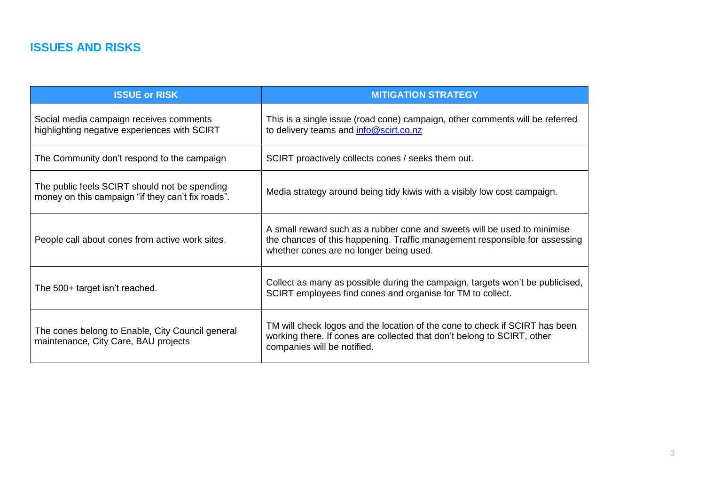## **ISSUES AND RISKS**

| <b>ISSUE or RISK</b>                                                                               | <b>MITIGATION STRATEGY</b>                                                                                                                                                                         |
|----------------------------------------------------------------------------------------------------|----------------------------------------------------------------------------------------------------------------------------------------------------------------------------------------------------|
| Social media campaign receives comments<br>highlighting negative experiences with SCIRT            | This is a single issue (road cone) campaign, other comments will be referred<br>to delivery teams and info@scirt.co.nz                                                                             |
| The Community don't respond to the campaign                                                        | SCIRT proactively collects cones / seeks them out.                                                                                                                                                 |
| The public feels SCIRT should not be spending<br>money on this campaign "if they can't fix roads". | Media strategy around being tidy kiwis with a visibly low cost campaign.                                                                                                                           |
| People call about cones from active work sites.                                                    | A small reward such as a rubber cone and sweets will be used to minimise<br>the chances of this happening. Traffic management responsible for assessing<br>whether cones are no longer being used. |
| The 500+ target isn't reached.                                                                     | Collect as many as possible during the campaign, targets won't be publicised,<br>SCIRT employees find cones and organise for TM to collect.                                                        |
| The cones belong to Enable, City Council general<br>maintenance, City Care, BAU projects           | TM will check logos and the location of the cone to check if SCIRT has been<br>working there. If cones are collected that don't belong to SCIRT, other<br>companies will be notified.              |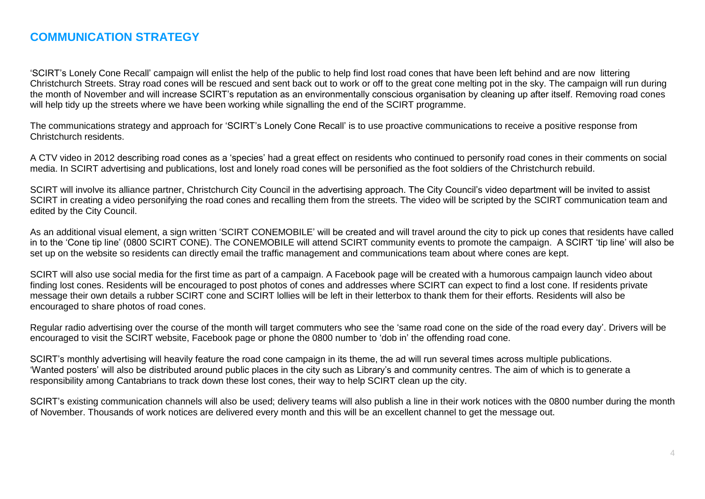#### **COMMUNICATION STRATEGY**

'SCIRT's Lonely Cone Recall' campaign will enlist the help of the public to help find lost road cones that have been left behind and are now littering Christchurch Streets. Stray road cones will be rescued and sent back out to work or off to the great cone melting pot in the sky. The campaign will run during the month of November and will increase SCIRT's reputation as an environmentally conscious organisation by cleaning up after itself. Removing road cones will help tidy up the streets where we have been working while signalling the end of the SCIRT programme.

The communications strategy and approach for 'SCIRT's Lonely Cone Recall' is to use proactive communications to receive a positive response from Christchurch residents.

A CTV video in 2012 describing road cones as a 'species' had a great effect on residents who continued to personify road cones in their comments on social media. In SCIRT advertising and publications, lost and lonely road cones will be personified as the foot soldiers of the Christchurch rebuild.

SCIRT will involve its alliance partner, Christchurch City Council in the advertising approach. The City Council's video department will be invited to assist SCIRT in creating a video personifying the road cones and recalling them from the streets. The video will be scripted by the SCIRT communication team and edited by the City Council.

As an additional visual element, a sign written 'SCIRT CONEMOBILE' will be created and will travel around the city to pick up cones that residents have called in to the 'Cone tip line' (0800 SCIRT CONE). The CONEMOBILE will attend SCIRT community events to promote the campaign. A SCIRT 'tip line' will also be set up on the website so residents can directly email the traffic management and communications team about where cones are kept.

SCIRT will also use social media for the first time as part of a campaign. A Facebook page will be created with a humorous campaign launch video about finding lost cones. Residents will be encouraged to post photos of cones and addresses where SCIRT can expect to find a lost cone. If residents private message their own details a rubber SCIRT cone and SCIRT lollies will be left in their letterbox to thank them for their efforts. Residents will also be encouraged to share photos of road cones.

Regular radio advertising over the course of the month will target commuters who see the 'same road cone on the side of the road every day'. Drivers will be encouraged to visit the SCIRT website, Facebook page or phone the 0800 number to 'dob in' the offending road cone.

SCIRT's monthly advertising will heavily feature the road cone campaign in its theme, the ad will run several times across multiple publications. 'Wanted posters' will also be distributed around public places in the city such as Library's and community centres. The aim of which is to generate a responsibility among Cantabrians to track down these lost cones, their way to help SCIRT clean up the city.

SCIRT's existing communication channels will also be used; delivery teams will also publish a line in their work notices with the 0800 number during the month of November. Thousands of work notices are delivered every month and this will be an excellent channel to get the message out.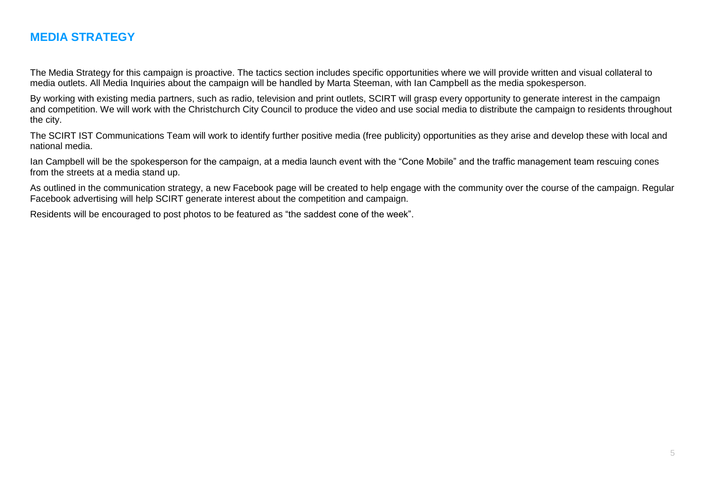#### **MEDIA STRATEGY**

The Media Strategy for this campaign is proactive. The tactics section includes specific opportunities where we will provide written and visual collateral to media outlets. All Media Inquiries about the campaign will be handled by Marta Steeman, with Ian Campbell as the media spokesperson.

By working with existing media partners, such as radio, television and print outlets, SCIRT will grasp every opportunity to generate interest in the campaign and competition. We will work with the Christchurch City Council to produce the video and use social media to distribute the campaign to residents throughout the city.

The SCIRT IST Communications Team will work to identify further positive media (free publicity) opportunities as they arise and develop these with local and national media.

Ian Campbell will be the spokesperson for the campaign, at a media launch event with the "Cone Mobile" and the traffic management team rescuing cones from the streets at a media stand up.

As outlined in the communication strategy, a new Facebook page will be created to help engage with the community over the course of the campaign. Regular Facebook advertising will help SCIRT generate interest about the competition and campaign.

Residents will be encouraged to post photos to be featured as "the saddest cone of the week".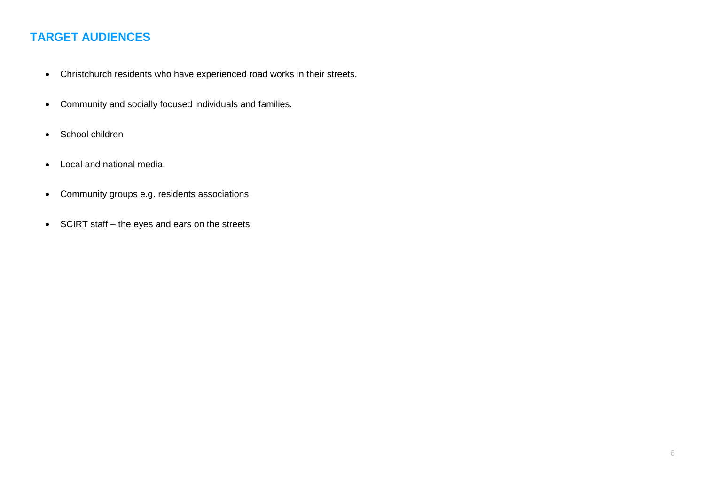## **TARGET AUDIENCES**

- Christchurch residents who have experienced road works in their streets.
- Community and socially focused individuals and families.
- School children
- Local and national media.
- Community groups e.g. residents associations
- SCIRT staff the eyes and ears on the streets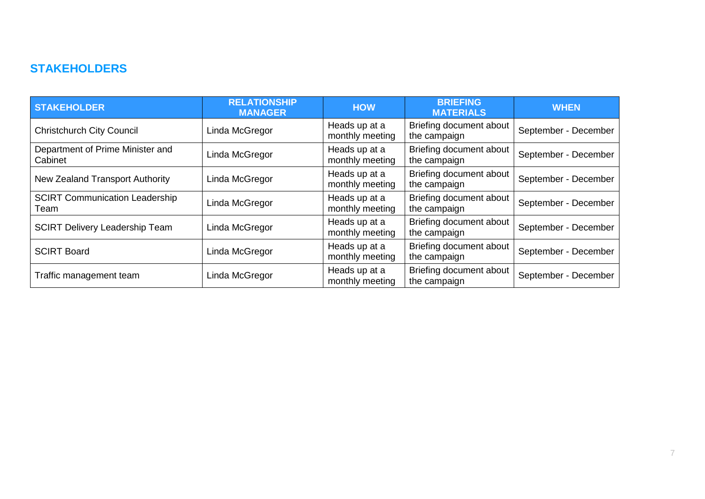#### **STAKEHOLDERS**

| <b>STAKEHOLDER</b>                            | <b>RELATIONSHIP</b><br><b>MANAGER</b> | <b>HOW</b>                       | <b>BRIEFING</b><br><b>MATERIALS</b>     | <b>WHEN</b>          |
|-----------------------------------------------|---------------------------------------|----------------------------------|-----------------------------------------|----------------------|
| <b>Christchurch City Council</b>              | Linda McGregor                        | Heads up at a<br>monthly meeting | Briefing document about<br>the campaign | September - December |
| Department of Prime Minister and<br>Cabinet   | Linda McGregor                        | Heads up at a<br>monthly meeting | Briefing document about<br>the campaign | September - December |
| New Zealand Transport Authority               | Linda McGregor                        | Heads up at a<br>monthly meeting | Briefing document about<br>the campaign | September - December |
| <b>SCIRT Communication Leadership</b><br>Team | Linda McGregor                        | Heads up at a<br>monthly meeting | Briefing document about<br>the campaign | September - December |
| <b>SCIRT Delivery Leadership Team</b>         | Linda McGregor                        | Heads up at a<br>monthly meeting | Briefing document about<br>the campaign | September - December |
| <b>SCIRT Board</b>                            | Linda McGregor                        | Heads up at a<br>monthly meeting | Briefing document about<br>the campaign | September - December |
| Traffic management team                       | Linda McGregor                        | Heads up at a<br>monthly meeting | Briefing document about<br>the campaign | September - December |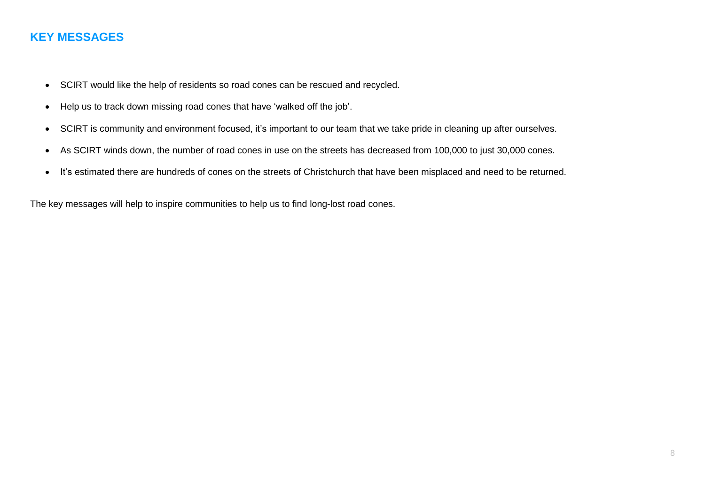#### **KEY MESSAGES**

- SCIRT would like the help of residents so road cones can be rescued and recycled.
- Help us to track down missing road cones that have 'walked off the job'.
- SCIRT is community and environment focused, it's important to our team that we take pride in cleaning up after ourselves.
- As SCIRT winds down, the number of road cones in use on the streets has decreased from 100,000 to just 30,000 cones.
- It's estimated there are hundreds of cones on the streets of Christchurch that have been misplaced and need to be returned.

The key messages will help to inspire communities to help us to find long-lost road cones.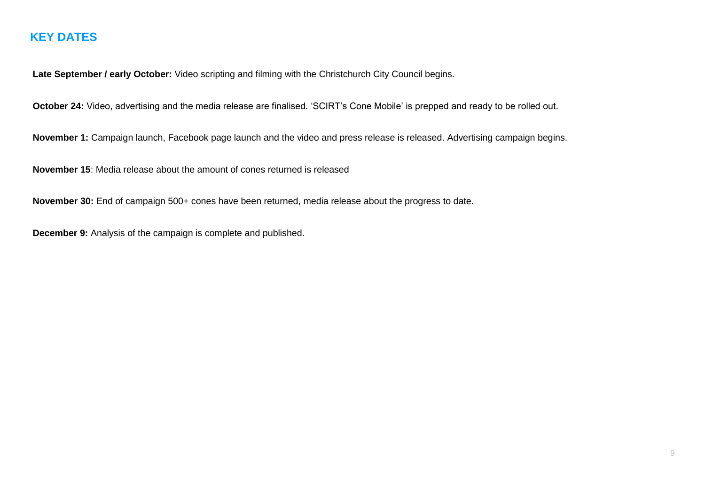#### **KEY DATES**

**Late September / early October:** Video scripting and filming with the Christchurch City Council begins.

**October 24:** Video, advertising and the media release are finalised. 'SCIRT's Cone Mobile' is prepped and ready to be rolled out.

November 1: Campaign launch, Facebook page launch and the video and press release is released. Advertising campaign begins.

**November 15**: Media release about the amount of cones returned is released

**November 30:** End of campaign 500+ cones have been returned, media release about the progress to date.

**December 9:** Analysis of the campaign is complete and published.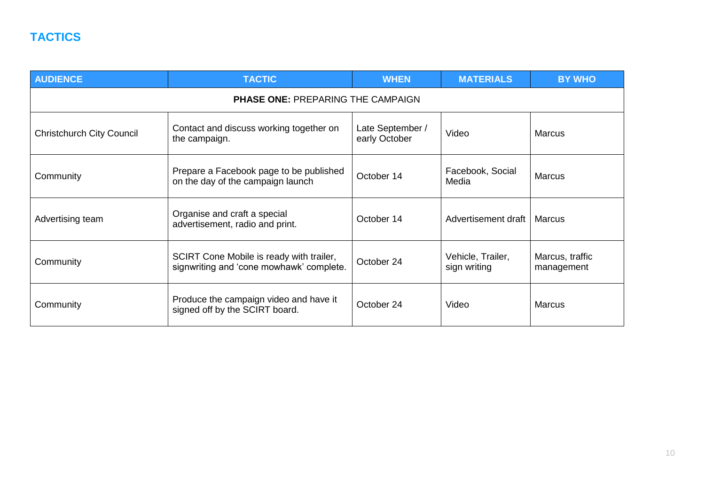| <b>AUDIENCE</b>                          | <b>TACTIC</b>                                                                        | <b>WHEN</b>                       | <b>MATERIALS</b>                  | <b>BY WHO</b>                 |  |  |  |  |
|------------------------------------------|--------------------------------------------------------------------------------------|-----------------------------------|-----------------------------------|-------------------------------|--|--|--|--|
| <b>PHASE ONE: PREPARING THE CAMPAIGN</b> |                                                                                      |                                   |                                   |                               |  |  |  |  |
| <b>Christchurch City Council</b>         | Contact and discuss working together on<br>the campaign.                             | Late September /<br>early October | Video                             | <b>Marcus</b>                 |  |  |  |  |
| Community                                | Prepare a Facebook page to be published<br>on the day of the campaign launch         | October 14                        | Facebook, Social<br>Media         | <b>Marcus</b>                 |  |  |  |  |
| Advertising team                         | Organise and craft a special<br>advertisement, radio and print.                      | October 14                        | Advertisement draft               | Marcus                        |  |  |  |  |
| Community                                | SCIRT Cone Mobile is ready with trailer,<br>signwriting and 'cone mowhawk' complete. | October 24                        | Vehicle, Trailer,<br>sign writing | Marcus, traffic<br>management |  |  |  |  |
| Community                                | Produce the campaign video and have it<br>signed off by the SCIRT board.             | October 24                        | Video                             | <b>Marcus</b>                 |  |  |  |  |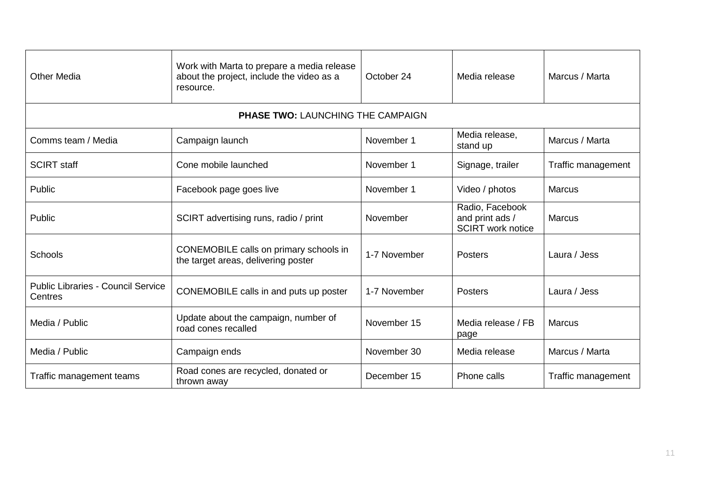| <b>Other Media</b>                                   | Work with Marta to prepare a media release<br>about the project, include the video as a<br>resource. | October 24   | Media release                                                  | Marcus / Marta     |  |  |  |
|------------------------------------------------------|------------------------------------------------------------------------------------------------------|--------------|----------------------------------------------------------------|--------------------|--|--|--|
| <b>PHASE TWO: LAUNCHING THE CAMPAIGN</b>             |                                                                                                      |              |                                                                |                    |  |  |  |
| Comms team / Media                                   | Campaign launch                                                                                      | November 1   | Media release,<br>stand up                                     | Marcus / Marta     |  |  |  |
| <b>SCIRT staff</b>                                   | Cone mobile launched                                                                                 | November 1   | Signage, trailer                                               | Traffic management |  |  |  |
| Public                                               | Facebook page goes live                                                                              | November 1   | Video / photos                                                 | <b>Marcus</b>      |  |  |  |
| Public                                               | SCIRT advertising runs, radio / print                                                                | November     | Radio, Facebook<br>and print ads /<br><b>SCIRT</b> work notice | <b>Marcus</b>      |  |  |  |
| Schools                                              | CONEMOBILE calls on primary schools in<br>the target areas, delivering poster                        | 1-7 November | Posters                                                        | Laura / Jess       |  |  |  |
| <b>Public Libraries - Council Service</b><br>Centres | CONEMOBILE calls in and puts up poster                                                               | 1-7 November | Posters                                                        | Laura / Jess       |  |  |  |
| Media / Public                                       | Update about the campaign, number of<br>road cones recalled                                          | November 15  | Media release / FB<br>page                                     | <b>Marcus</b>      |  |  |  |
| Media / Public                                       | Campaign ends                                                                                        | November 30  | Media release                                                  | Marcus / Marta     |  |  |  |
| Traffic management teams                             | Road cones are recycled, donated or<br>thrown away                                                   | December 15  | Phone calls                                                    | Traffic management |  |  |  |